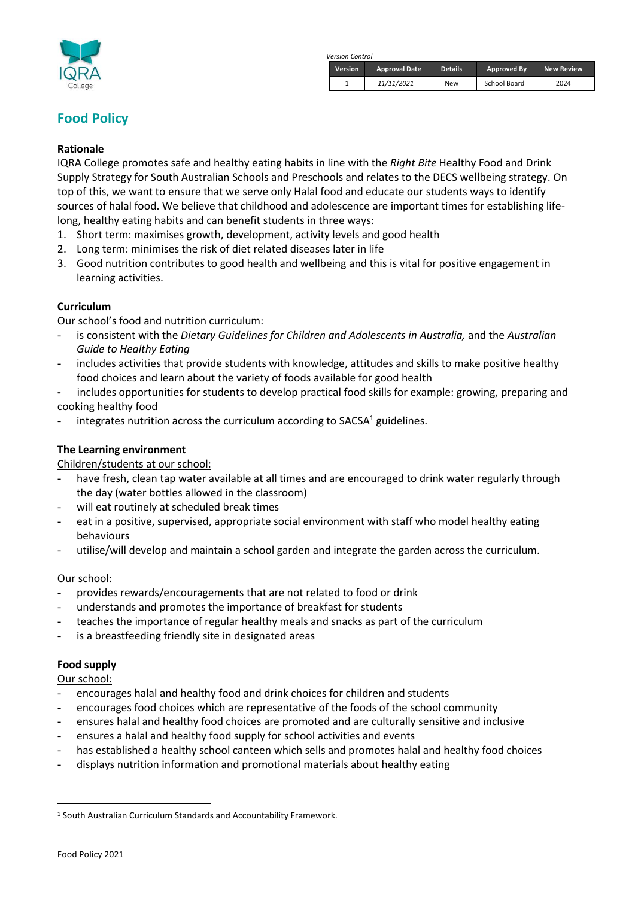

*Version Control*

| <b>Version</b> | <b>Approval Date</b> | <b>Details</b> | Approved By  | <b>New Review</b> |
|----------------|----------------------|----------------|--------------|-------------------|
|                | 11/11/2021           | New            | School Board | 2024              |

# **Food Policy**

#### **Rationale**

IQRA College promotes safe and healthy eating habits in line with the *Right Bite* Healthy Food and Drink Supply Strategy for South Australian Schools and Preschools and relates to the DECS wellbeing strategy. On top of this, we want to ensure that we serve only Halal food and educate our students ways to identify sources of halal food. We believe that childhood and adolescence are important times for establishing lifelong, healthy eating habits and can benefit students in three ways:

- 1. Short term: maximises growth, development, activity levels and good health
- 2. Long term: minimises the risk of diet related diseases later in life
- 3. Good nutrition contributes to good health and wellbeing and this is vital for positive engagement in learning activities.

## **Curriculum**

Our school's food and nutrition curriculum:

- is consistent with the *Dietary Guidelines for Children and Adolescents in Australia,* and the *Australian Guide to Healthy Eating*
- includes activities that provide students with knowledge, attitudes and skills to make positive healthy food choices and learn about the variety of foods available for good health
- includes opportunities for students to develop practical food skills for example: growing, preparing and cooking healthy food
- integrates nutrition across the curriculum according to SACSA<sup>1</sup> guidelines.

## **The Learning environment**

Children/students at our school:

- have fresh, clean tap water available at all times and are encouraged to drink water regularly through the day (water bottles allowed in the classroom)
- will eat routinely at scheduled break times
- eat in a positive, supervised, appropriate social environment with staff who model healthy eating behaviours
- utilise/will develop and maintain a school garden and integrate the garden across the curriculum.

#### Our school:

- provides rewards/encouragements that are not related to food or drink
- understands and promotes the importance of breakfast for students
- teaches the importance of regular healthy meals and snacks as part of the curriculum
- is a breastfeeding friendly site in designated areas

#### **Food supply**

Our school:

- encourages halal and healthy food and drink choices for children and students
- encourages food choices which are representative of the foods of the school community
- ensures halal and healthy food choices are promoted and are culturally sensitive and inclusive
- ensures a halal and healthy food supply for school activities and events
- has established a healthy school canteen which sells and promotes halal and healthy food choices
- displays nutrition information and promotional materials about healthy eating

<sup>1</sup> South Australian Curriculum Standards and Accountability Framework.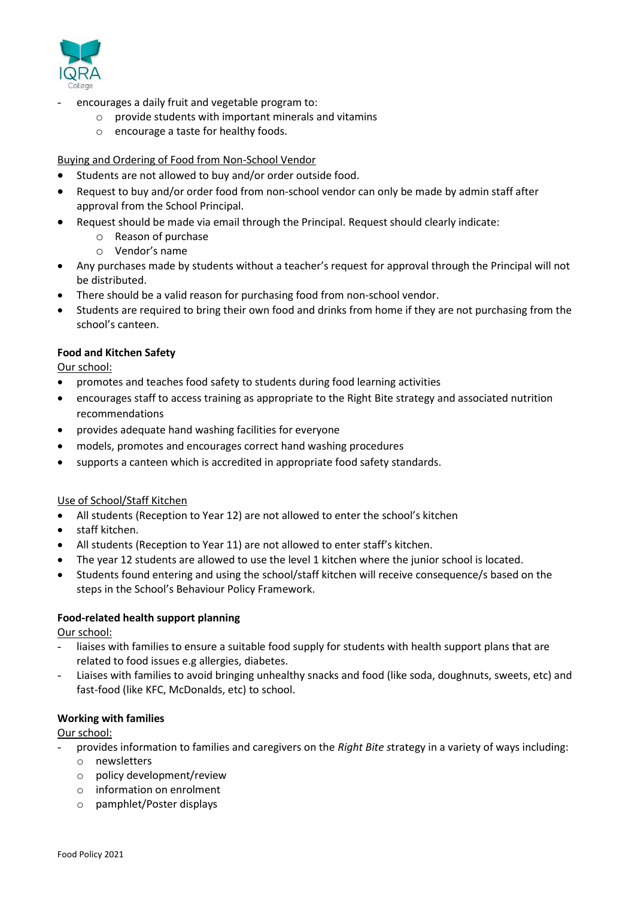

- encourages a daily fruit and vegetable program to:
	- $\circ$  provide students with important minerals and vitamins
	- o encourage a taste for healthy foods.

### Buying and Ordering of Food from Non-School Vendor

- Students are not allowed to buy and/or order outside food.
- Request to buy and/or order food from non-school vendor can only be made by admin staff after approval from the School Principal.
- Request should be made via email through the Principal. Request should clearly indicate:
	- o Reason of purchase
	- o Vendor's name
- Any purchases made by students without a teacher's request for approval through the Principal will not be distributed.
- There should be a valid reason for purchasing food from non-school vendor.
- Students are required to bring their own food and drinks from home if they are not purchasing from the school's canteen.

#### **Food and Kitchen Safety**

Our school:

- promotes and teaches food safety to students during food learning activities
- encourages staff to access training as appropriate to the Right Bite strategy and associated nutrition recommendations
- provides adequate hand washing facilities for everyone
- models, promotes and encourages correct hand washing procedures
- supports a canteen which is accredited in appropriate food safety standards.

#### Use of School/Staff Kitchen

- All students (Reception to Year 12) are not allowed to enter the school's kitchen
- staff kitchen.
- All students (Reception to Year 11) are not allowed to enter staff's kitchen.
- The year 12 students are allowed to use the level 1 kitchen where the junior school is located.
- Students found entering and using the school/staff kitchen will receive consequence/s based on the steps in the School's Behaviour Policy Framework.

#### **Food-related health support planning**

#### Our school:

- liaises with families to ensure a suitable food supply for students with health support plans that are related to food issues e.g allergies, diabetes.
- Liaises with families to avoid bringing unhealthy snacks and food (like soda, doughnuts, sweets, etc) and fast-food (like KFC, McDonalds, etc) to school.

#### **Working with families**

#### Our school:

- provides information to families and caregivers on the *Right Bite s*trategy in a variety of ways including:
- o newsletters
- o policy development/review
- o information on enrolment
- o pamphlet/Poster displays